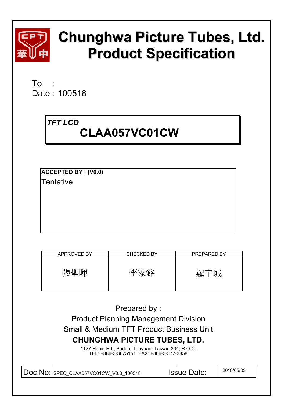

# **Chunghwa Picture Tubes, Ltd. Product Specification**

To Date : 100518

# *TFT LCD*   **CLAA057VC01CW**

**ACCEPTED BY : (V0.0)** 

**Tentative** 

| APPROVED BY | <b>CHECKED BY</b> | PREPARED BY |
|-------------|-------------------|-------------|
| 圃           |                   | .⁄#≍        |

Prepared by :

Product Planning Management Division Small & Medium TFT Product Business Unit **CHUNGHWA PICTURE TUBES, LTD.** 

> 1127 Hopin Rd., Padeh, Taoyuan, Taiwan 334, R.O.C. TEL: +886-3-3675151 FAX: +886-3-377-3858

Doc.No: SPEC\_CLAA057VC01CW\_V0.0\_100518 Issue Date: 2010/05/03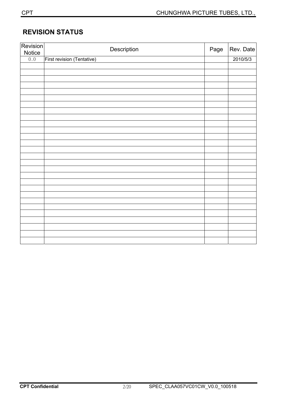# **REVISION STATUS**

| Revision<br>Notice | Description                | Page | Rev. Date |
|--------------------|----------------------------|------|-----------|
| 0.0                | First revision (Tentative) |      | 2010/5/3  |
|                    |                            |      |           |
|                    |                            |      |           |
|                    |                            |      |           |
|                    |                            |      |           |
|                    |                            |      |           |
|                    |                            |      |           |
|                    |                            |      |           |
|                    |                            |      |           |
|                    |                            |      |           |
|                    |                            |      |           |
|                    |                            |      |           |
|                    |                            |      |           |
|                    |                            |      |           |
|                    |                            |      |           |
|                    |                            |      |           |
|                    |                            |      |           |
|                    |                            |      |           |
|                    |                            |      |           |
|                    |                            |      |           |
|                    |                            |      |           |
|                    |                            |      |           |
|                    |                            |      |           |
|                    |                            |      |           |
|                    |                            |      |           |
|                    |                            |      |           |
|                    |                            |      |           |
|                    |                            |      |           |
|                    |                            |      |           |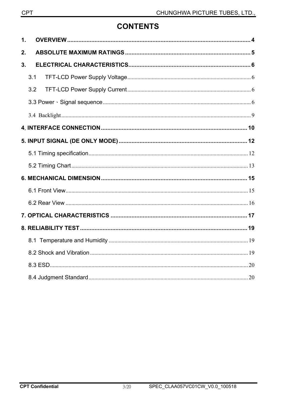# **CONTENTS**

| $\mathbf 1$ . |     |  |
|---------------|-----|--|
| 2.            |     |  |
| 3.            |     |  |
|               | 3.1 |  |
|               | 3.2 |  |
|               |     |  |
|               |     |  |
|               |     |  |
|               |     |  |
|               |     |  |
|               |     |  |
|               |     |  |
|               |     |  |
|               |     |  |
|               |     |  |
|               |     |  |
|               |     |  |
|               |     |  |
|               |     |  |
|               |     |  |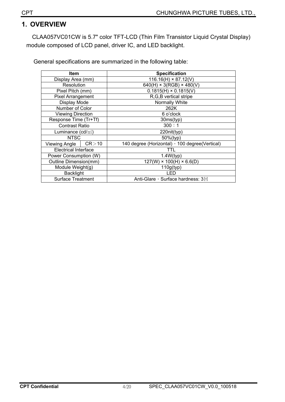## **1. OVERVIEW**

CLAA057VC01CW is 5.7" color TFT-LCD (Thin Film Transistor Liquid Crystal Display) module composed of LCD panel, driver IC, and LED backlight.

General specifications are summarized in the following table:

| ltem                        |         | <b>Specification</b>                            |
|-----------------------------|---------|-------------------------------------------------|
|                             |         |                                                 |
| Display Area (mm)           |         | $116.16(H) \times 87.12(V)$                     |
| Resolution                  |         | $640(H) \times 3(RGB) \times 480(V)$            |
| Pixel Pitch (mm)            |         | $0.1815(H) \times 0.1815(V)$                    |
| <b>Pixel Arrangement</b>    |         | R, G, B vertical stripe                         |
| Display Mode                |         | Normally White                                  |
| Number of Color             |         | 262K                                            |
| <b>Viewing Direction</b>    |         | 6 o'clock                                       |
| Response Time (Tr+Tf)       |         | 30ms(typ)                                       |
| <b>Contrast Ratio</b>       |         | 300:1                                           |
| Luminance $(cd/m2)$         |         | 220nit(typ)                                     |
| <b>NTSC</b>                 |         | 50%(typ)                                        |
| Viewing Angle               | CR > 10 | 140 degree (Horizontal) , 100 degree (Vertical) |
| <b>Electrical Interface</b> |         | TTL                                             |
| Power Consumption (W)       |         | 1.4W(typ)                                       |
| Outline Dimension(mm)       |         | $127(W) \times 100(H) \times 6.6(D)$            |
| Module Weight(g)            |         | 110g(typ)                                       |
| <b>Backlight</b>            |         | LED                                             |
| <b>Surface Treatment</b>    |         | Anti-Glare, Surface hardness: 3H                |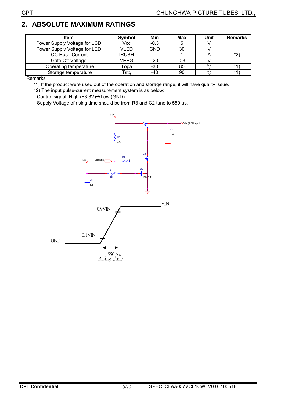# **2. ABSOLUTE MAXIMUM RATINGS**

| <b>Item</b>                  | Symbol       | Min        | <b>Max</b> | Unit    | <b>Remarks</b> |
|------------------------------|--------------|------------|------------|---------|----------------|
| Power Supply Voltage for LCD | Vcc          | $-0.3$     |            |         |                |
| Power Supply Voltage for LED | <b>VLED</b>  | <b>GND</b> | 30         |         |                |
| <b>ICC Rush Current</b>      | <b>IRUSH</b> |            |            |         | $*$            |
| Gate Off Voltage             | <b>VEEG</b>  | $-20$      | 0.3        |         |                |
| Operating temperature        | Topa         | $-30$      | 85         | $\sim$  | $*4$           |
| Storage temperature          | Tstg         | -40        | 90         | $\circ$ | $*4$           |

Remarks:

\*1) If the product were used out of the operation and storage range, it will have quality issue.

\*2) The input pulse-current measurement system is as below:

Control signal: High  $(+3.3V)\rightarrow$ Low (GND)

Supply Voltage of rising time should be from R3 and C2 tune to 550 μs.

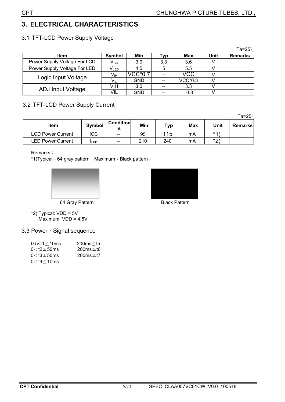# 3. ELECTRICAL CHARACTERISTICS

| 3.1 TFT-LCD Power Supply Voltage |  |  |  |  |  |
|----------------------------------|--|--|--|--|--|
|----------------------------------|--|--|--|--|--|

|                              |                             |            |           |           |      | Ta=25 $\degree$ C |
|------------------------------|-----------------------------|------------|-----------|-----------|------|-------------------|
| <b>Item</b>                  | Symbol                      | Min        | <b>VD</b> | Max       | Unit | <b>Remarks</b>    |
| Power Supply Voltage For LCD | $V_{\rm CC}$                | 3.0        | 3.3       | 3.6       |      |                   |
| Power Supply Voltage For LED | $\mathsf{V}_{\mathsf{LED}}$ | 4.5        |           | 5.5       |      |                   |
| Logic Input Voltage          | $V_{\sf IH}$                | VCC*0.7    |           | VCC       |      |                   |
|                              | $\sf{V}_{\sf IL}$           | <b>GND</b> |           | $VCC*0.3$ |      |                   |
| <b>ADJ Input Voltage</b>     | VIH                         | 3.0        |           | 3.3       |      |                   |
|                              | VIL                         | GND        |           | 0.3       |      |                   |

## 3.2 TFT-LCD Power Supply Current

Ta=25 $°C$ 

| <b>Item</b>              | Symbol       | <b>Condition</b>  | Min | Тур | Max | Unit  | <b>Remarks</b> |
|--------------------------|--------------|-------------------|-----|-----|-----|-------|----------------|
| <b>LCD Power Current</b> | ICC          | $\hspace{0.05cm}$ | 95  | 115 | mA  | $*4)$ |                |
| <b>LED Power Current</b> | <b>I</b> LED | $\hspace{0.05cm}$ | 210 | 240 | mA  | $*$   |                |

Remarks:

\*1) Typical: 64 gray pattern, Maximum: Black pattern ·





64 Gray Pattern

\*2) Typical:  $VDD = 5V$ <br>Maximum:  $VDD = 4.5V$ 

## 3.3 Power · Signal sequence

| $0.5 < t1 \leq 10$ ms<br>$0<$ t2 $\leq$ 50ms | 200ms≤t5<br>$200ms \leq t6$ |
|----------------------------------------------|-----------------------------|
| $0<$ t $3 \leq 50$ ms                        | $200ms \leq t7$             |
| $0<$ t4 $\leq$ 10ms                          |                             |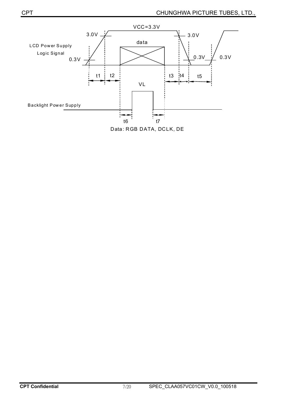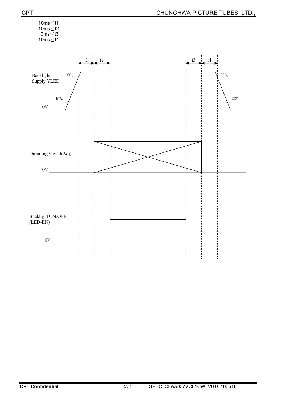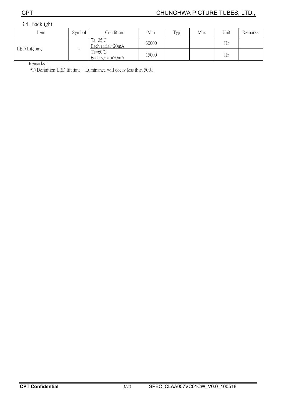3.4 Backlight

| Item         | Symbol | Condition                            | Min   | Typ | Max | Unit | Remarks |
|--------------|--------|--------------------------------------|-------|-----|-----|------|---------|
| LED Lifetime |        | $Ta=25^{\circ}C$<br>Each serial=20mA | 30000 |     |     | Hr   |         |
|              | -      | $Ta=60^{\circ}C$<br>Each serial=20mA | 15000 |     |     | Hr   |         |

Remarks:

\*1) Definition LED lifetime : Luminance will decay less than 50%.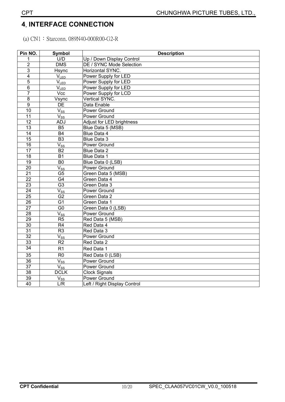## **4**ˁ **INTERFACE CONNECTION**

(a) CN1: Starconn. 089N40-000R00-G2-R

| Pin NO.                 | <b>Symbol</b>       | <b>Description</b>           |
|-------------------------|---------------------|------------------------------|
| 1                       | U/D                 | Up / Down Display Control    |
| $\overline{2}$          | <b>DMS</b>          | DE / SYNC Mode Selection     |
| $\overline{3}$          | Hsync               | Horizontal SYNC.             |
| $\overline{\mathbf{4}}$ | $V_{LED}$           | Power Supply for LED         |
| 5                       | $V_{LED}$           | Power Supply for LED         |
| $6\phantom{1}6$         | V <sub>LED</sub>    | Power Supply for LED         |
| $\overline{7}$          | Vcc                 | Power Supply for LCD         |
| $\overline{8}$          | Vsync               | Vertical SYNC.               |
| $\boldsymbol{9}$        | <b>DE</b>           | Data Enable                  |
| 10                      | $V_{SS}$            | Power Ground                 |
| 11                      | $V_{SS}$            | Power Ground                 |
| $\overline{12}$         | <b>ADJ</b>          | Adjust for LED brightness    |
| $\overline{13}$         | $\overline{B5}$     | Blue Data 5 (MSB)            |
| $\overline{14}$         | <b>B4</b>           | Blue Data 4                  |
| $\overline{15}$         | $\overline{B3}$     | Blue Data 3                  |
| $\overline{16}$         | $V_{SS}$            | Power Ground                 |
| 17                      | $\overline{B2}$     | <b>Blue Data 2</b>           |
| 18                      | $\overline{B1}$     | Blue Data 1                  |
| 19                      | B <sub>0</sub>      | Blue Data 0 (LSB)            |
| $\overline{20}$         | $V_{SS}$            | Power Ground                 |
| 21                      | G <sub>5</sub>      | Green Data 5 (MSB)           |
| $\overline{22}$         | G4                  | Green Data 4                 |
| $\overline{23}$         | $\overline{G3}$     | Green Data 3                 |
| $\overline{24}$         | $\overline{V_{SS}}$ | Power Ground                 |
| $\overline{25}$         | G <sub>2</sub>      | Green Data 2                 |
| 26                      | $\overline{G1}$     | Green Data 1                 |
| $\overline{27}$         | $\overline{G0}$     | Green Data 0 (LSB)           |
| $\overline{28}$         | $\overline{V_{SS}}$ | Power Ground                 |
| 29                      | $\overline{R5}$     | Red Data 5 (MSB)             |
| $\overline{30}$         | R <sub>4</sub>      | Red Data 4                   |
| $\overline{31}$         | $\overline{R3}$     | Red Data 3                   |
| $\overline{32}$         | $\overline{V_{SS}}$ | <b>Power Ground</b>          |
| 33                      | $\overline{R2}$     | Red Data 2                   |
| 34                      | R <sub>1</sub>      | Red Data 1                   |
| $\overline{35}$         | $\overline{R0}$     | Red Data 0 (LSB)             |
| 36                      | $V_{SS}$            | Power Ground                 |
| $\overline{37}$         | $V_{ss}$            | Power Ground                 |
| 38                      | <b>DCLK</b>         | <b>Clock Signals</b>         |
| 39                      | $V_{SS}$            | Power Ground                 |
| $\overline{40}$         | L/R                 | Left / Right Display Control |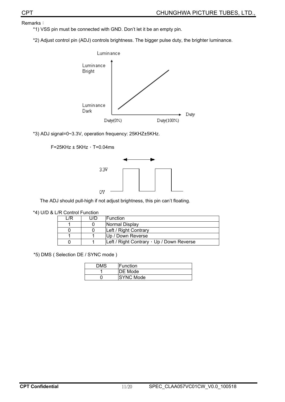Remarks:

\*1) VSS pin must be connected with GND. Don't let it be an empty pin.

\*2) Adjust control pin (ADJ) controls brightness. The bigger pulse duty, the brighter luminance.



\*3) ADJ signal=0~3.3V, operation frequency: 25KHZ±5KHz.

F=25KHz  $\pm$  5KHz $\cdot$  T=0.04ms



The ADJ should pull-high if not adjust brightness, this pin can't floating.

#### \*4) U/D & L/R Control Function

| /R | l I/D | <b>IFunction</b>                          |
|----|-------|-------------------------------------------|
|    |       | Normal Display                            |
|    |       | Left / Right Contrary                     |
|    |       | Up / Down Reverse                         |
|    |       | Left / Right Contrary , Up / Down Reverse |

\*5) DMS ( Selection DE / SYNC mode )

| DMS | lFunction        |
|-----|------------------|
|     | <b>DE</b> Mode   |
|     | <b>SYNC Mode</b> |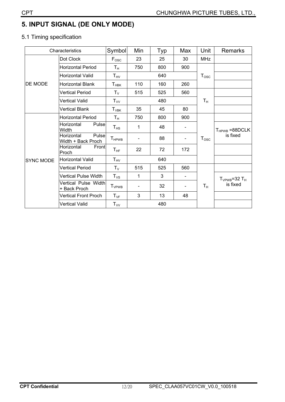# **5. INPUT SIGNAL (DE ONLY MODE)**

## 5.1 Timing specification

|                  | Characteristics                           | Symbol                     | Min | Typ | Max                      | Unit          | <b>Remarks</b>                 |
|------------------|-------------------------------------------|----------------------------|-----|-----|--------------------------|---------------|--------------------------------|
|                  | Dot Clock                                 | $F_{\rm osc}$              | 23  | 25  | 30                       | <b>MHz</b>    |                                |
|                  | <b>Horizontal Period</b>                  | $T_{\rm H}$                | 750 | 800 | 900                      |               |                                |
| DE MODE          | Horizontal Valid                          | $\mathsf{T}_{\mathsf{HV}}$ |     | 640 |                          | $T_{\rm osc}$ |                                |
|                  | <b>Horizontal Blank</b>                   | $T_{\sf HBK}$              | 110 | 160 | 260                      |               |                                |
|                  | <b>Vertical Period</b>                    | $T_{\rm V}$                | 515 | 525 | 560                      |               |                                |
|                  | Vertical Valid                            | $T_{VV}$                   | 480 |     |                          | $T_{\rm H}$   |                                |
|                  | <b>Vertical Blank</b>                     | $T_{VBK}$                  | 35  | 45  | 80                       |               |                                |
| <b>SYNC MODE</b> | <b>Horizontal Period</b>                  | Tн                         | 750 | 800 | 900                      |               |                                |
|                  | Pulse<br>Horizontal<br>Width              | $\mathsf{T}_{\mathsf{HS}}$ | 1   | 48  | $\overline{\phantom{a}}$ |               | $T_{HPWB}$ =88DCLK<br>is fixed |
|                  | Pulse<br>Horizontal<br>Width + Back Proch | <b>T</b> <sub>HPWB</sub>   |     | 88  | $\overline{\phantom{0}}$ | $T_{\rm osc}$ |                                |
|                  | Horizontal<br>Front<br>Proch              | $T_{HF}$                   | 22  | 72  | 172                      |               |                                |
|                  | <b>Horizontal Valid</b>                   | $T_{HV}$                   | 640 |     |                          |               |                                |
|                  | <b>Vertical Period</b>                    | $T_{V}$                    | 515 | 525 | 560                      |               |                                |
|                  | <b>Vertical Pulse Width</b>               | $T_{VS}$                   | 1   | 3   | $\overline{\phantom{a}}$ |               | $T_{VPWB} = 32 T_H$            |
|                  | Vertical Pulse Width<br>+ Back Proch      | $T_{VPWB}$                 |     | 32  |                          | $T_{\rm H}$   | is fixed                       |
|                  | <b>Vertical Front Proch</b>               | $T_{VF}$                   | 3   | 13  | 48                       |               |                                |
|                  | <b>Vertical Valid</b>                     | $\mathsf{T}_{\mathsf{VV}}$ |     | 480 |                          |               |                                |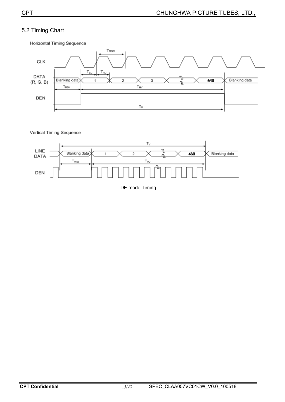## 5.2 Timing Chart



Horizontal Timing Sequence

Vertical Timing Sequence



DE mode Timing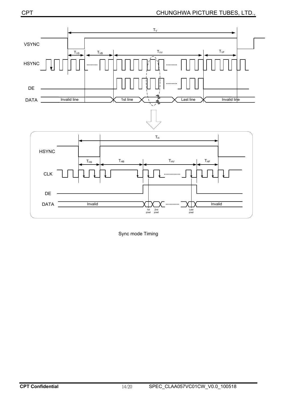

Sync mode Timing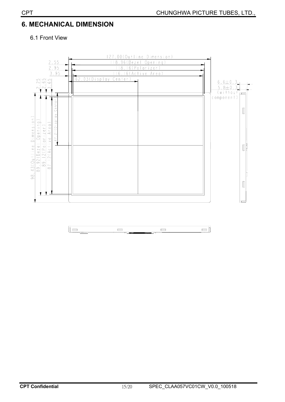# **6. MECHANICAL DIMENSION**

#### 6.1 Front View



 $\mathbb{I}$   $\blacksquare$  $\blacksquare$  $\qquad \qquad \blacksquare$  $\Box$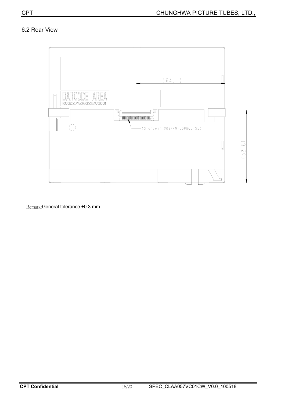#### 6.2 Rear View



Remark: General tolerance ±0.3 mm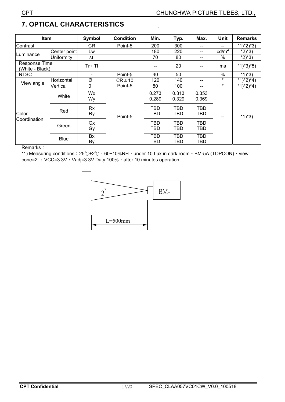# **7. OPTICAL CHARACTERISTICS**

| Item                             |              | Symbol   | <b>Condition</b> | Min.              | Typ.           | Max.              | <b>Unit</b>     | <b>Remarks</b> |
|----------------------------------|--------------|----------|------------------|-------------------|----------------|-------------------|-----------------|----------------|
| Contrast                         |              | CR       | Point-5          | 200               | 300            | $- -$             |                 | $*1)*2)*3)$    |
|                                  | Center point | Lw       |                  | 180               | 220            | $- -$             | $\text{cd/m}^2$ | $*2)*3)$       |
| Luminance                        | Uniformity   | ΔL       |                  | 70                | 80             | $- -$             | %               | $*2)*3)$       |
| Response Time<br>(White - Black) |              | $Tr+Tf$  |                  |                   | 20             |                   | ms              | $*1)*3*5)$     |
| <b>NTSC</b>                      |              |          | Point-5          | 40                | 50             |                   | $\%$            | $*(1)^*3)$     |
| View angle                       | Horizontal   | Ø        | $CR \ge 10$      | 120               | 140            | --                | $\circ$         | $*1)*2)*4)$    |
|                                  | Vertical     | θ        | Point-5          | 80                | 100            | $-$               | $\circ$         | $*1)*2)*4)$    |
| Color<br>Coordination            | White        | Wx<br>Wy |                  | 0.273<br>0.289    | 0.313<br>0.329 | 0.353<br>0.369    | --              | $*1)*3)$       |
|                                  | Red          | Rx<br>Ry | Point-5          | TBD<br>TBD        | TBD<br>TBD     | <b>TBD</b><br>TBD |                 |                |
|                                  | Green        | Gx<br>Gy |                  | <b>TBD</b><br>TBD | TBD<br>TBD     | <b>TBD</b><br>TBD |                 |                |
|                                  | <b>Blue</b>  | Bx<br>By |                  | TBD<br>TBD        | TBD<br>TBD     | TBD<br>TBD        |                 |                |

i,

Remarks:

\*1) Measuring conditions:  $25C \pm 2C$ ,  $60\pm 10\%$ RH, under 10 Lux in dark room  $\cdot$  BM-5A (TOPCON), view cone=2°, VCC=3.3V, Vadj=3.3V Duty 100%, after 10 minutes operation.

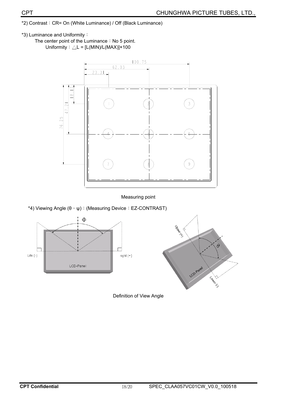- \*2) Contrast: CR= On (White Luminance) / Off (Black Luminance)
- \*3) Luminance and Uniformity:
	- The center point of the Luminance: No 5 point. Uniformity :  $\triangle L = [L(MIN)/L(MAX)] \times 100$



#### Measuring point

\*4) Viewing Angle  $(θ, ψ)$ : (Measuring Device: EZ-CONTRAST)



Definition of View Angle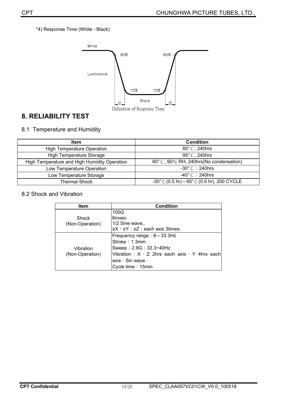\*4) Response Time (White - Black)



# **8. RELIABILITY TEST**

#### 8.1 Temperature and Humidity

| Item                                         | <b>Condition</b>                                                    |
|----------------------------------------------|---------------------------------------------------------------------|
| <b>High Temperature Operation</b>            | 85° C, 240hrs                                                       |
| <b>High Temperature Storage</b>              | 95° C, 240hrs                                                       |
| High Temperature and High Humidity Operation | 60° C, 90% RH, 240hrs (No condensation)                             |
| Low Temperature Operation                    | $-30^{\circ}$ C $\div$ 240hrs                                       |
| Low Temperature Storage                      | $-40^{\circ}$ C $\div$ 240hrs                                       |
| Thermal Shock                                | $-30^{\circ}$ C (0.5 hr) $\sim$ 85 $^{\circ}$ C (0.5 hr), 200 CYCLE |

#### 8.2 Shock and Vibration

| <b>Item</b>     | <b>Condition</b>                                           |  |  |  |  |
|-----------------|------------------------------------------------------------|--|--|--|--|
|                 | 100G                                                       |  |  |  |  |
| <b>Shock</b>    | 6msec                                                      |  |  |  |  |
| (Non-Operation) | 1/2 Sine wave,.                                            |  |  |  |  |
|                 | $\pm X$ , $\pm Y$ , $\pm Z$ , each axis 3 times.           |  |  |  |  |
|                 | Frequency range: $8\sim33.3$ Hz                            |  |  |  |  |
|                 | Stroke: 1.3mm                                              |  |  |  |  |
| Vibration       | Sweep: 2.9G, 33.3~40Hz                                     |  |  |  |  |
| (Non-Operation) | Vibration : $X \cdot Z$ 2hrs each axis $\cdot$ Y 4hrs each |  |  |  |  |
|                 | axis • Sin wave •                                          |  |  |  |  |
|                 | Cycle time: 15min                                          |  |  |  |  |